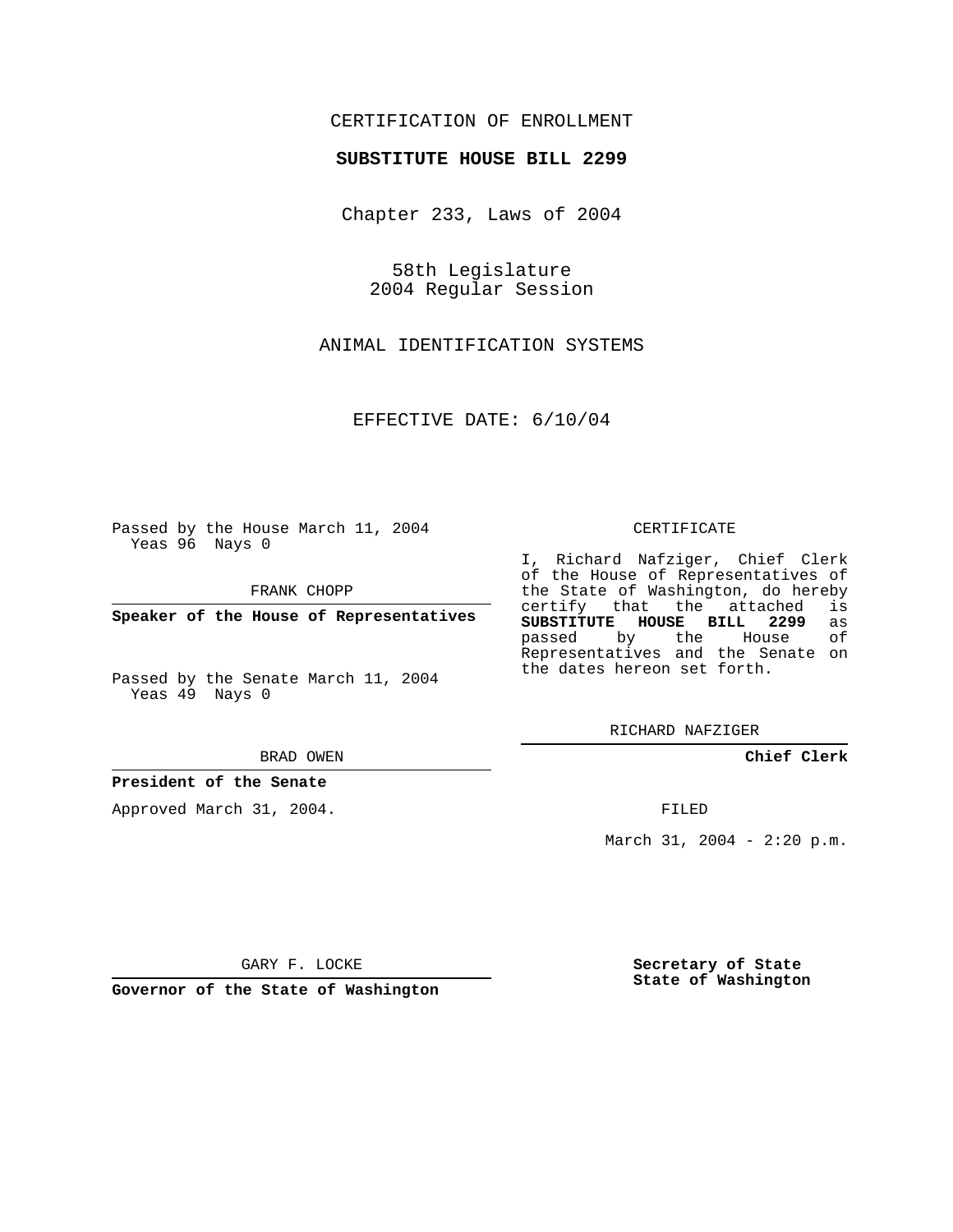# CERTIFICATION OF ENROLLMENT

## **SUBSTITUTE HOUSE BILL 2299**

Chapter 233, Laws of 2004

58th Legislature 2004 Regular Session

ANIMAL IDENTIFICATION SYSTEMS

EFFECTIVE DATE: 6/10/04

Passed by the House March 11, 2004 Yeas 96 Nays 0

FRANK CHOPP

**Speaker of the House of Representatives**

Passed by the Senate March 11, 2004 Yeas 49 Nays 0

BRAD OWEN

## **President of the Senate**

Approved March 31, 2004.

#### CERTIFICATE

I, Richard Nafziger, Chief Clerk of the House of Representatives of the State of Washington, do hereby<br>certify that the attached is certify that the attached **SUBSTITUTE HOUSE BILL 2299** as passed by the Representatives and the Senate on the dates hereon set forth.

RICHARD NAFZIGER

**Chief Clerk**

FILED

March 31, 2004 - 2:20 p.m.

GARY F. LOCKE

**Governor of the State of Washington**

**Secretary of State State of Washington**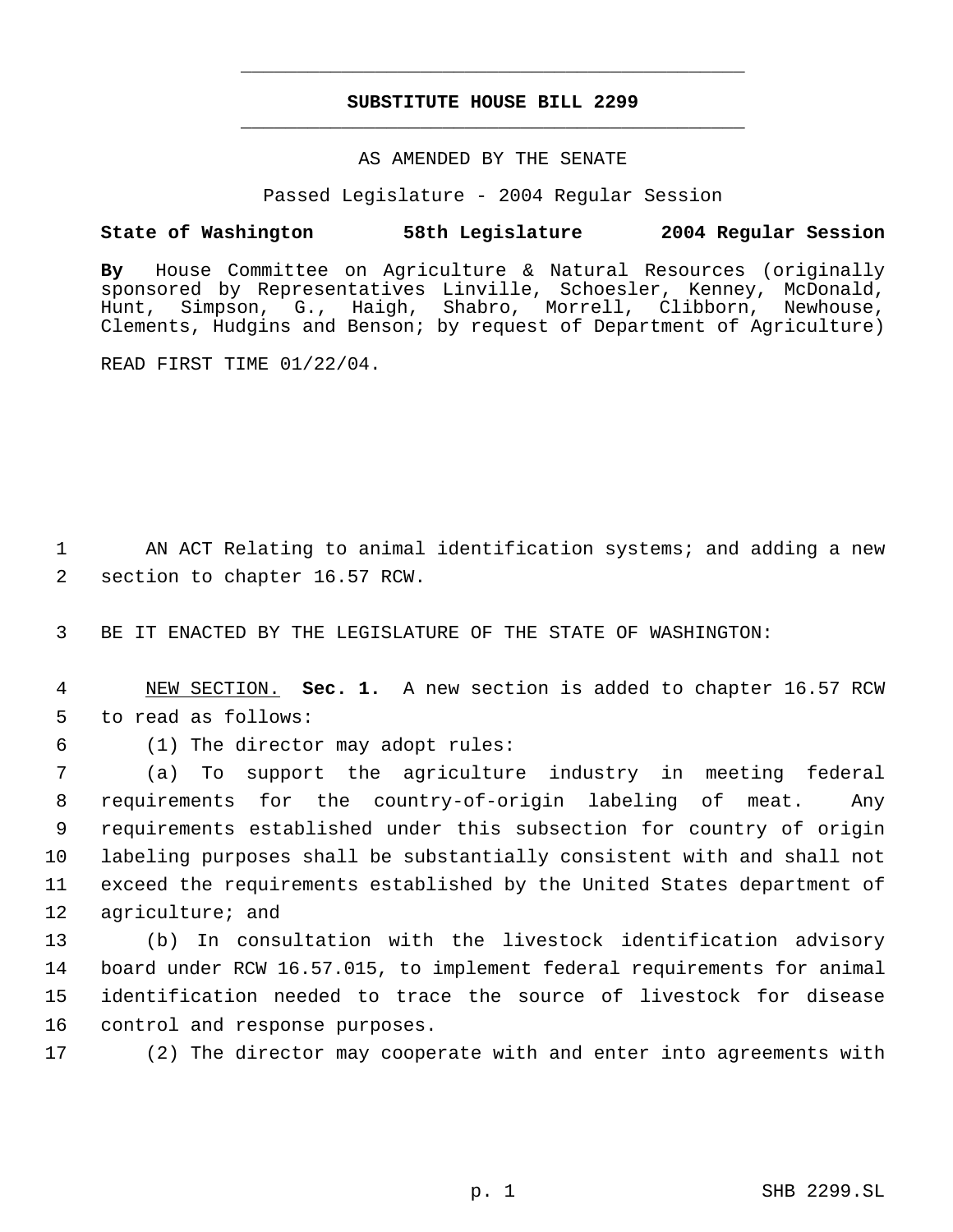# **SUBSTITUTE HOUSE BILL 2299** \_\_\_\_\_\_\_\_\_\_\_\_\_\_\_\_\_\_\_\_\_\_\_\_\_\_\_\_\_\_\_\_\_\_\_\_\_\_\_\_\_\_\_\_\_

\_\_\_\_\_\_\_\_\_\_\_\_\_\_\_\_\_\_\_\_\_\_\_\_\_\_\_\_\_\_\_\_\_\_\_\_\_\_\_\_\_\_\_\_\_

## AS AMENDED BY THE SENATE

Passed Legislature - 2004 Regular Session

## **State of Washington 58th Legislature 2004 Regular Session**

**By** House Committee on Agriculture & Natural Resources (originally sponsored by Representatives Linville, Schoesler, Kenney, McDonald, Hunt, Simpson, G., Haigh, Shabro, Morrell, Clibborn, Newhouse, Clements, Hudgins and Benson; by request of Department of Agriculture)

READ FIRST TIME 01/22/04.

 1 AN ACT Relating to animal identification systems; and adding a new 2 section to chapter 16.57 RCW.

3 BE IT ENACTED BY THE LEGISLATURE OF THE STATE OF WASHINGTON:

 4 NEW SECTION. **Sec. 1.** A new section is added to chapter 16.57 RCW 5 to read as follows:

6 (1) The director may adopt rules:

 (a) To support the agriculture industry in meeting federal requirements for the country-of-origin labeling of meat. Any requirements established under this subsection for country of origin labeling purposes shall be substantially consistent with and shall not exceed the requirements established by the United States department of 12 agriculture; and

 (b) In consultation with the livestock identification advisory board under RCW 16.57.015, to implement federal requirements for animal identification needed to trace the source of livestock for disease control and response purposes.

17 (2) The director may cooperate with and enter into agreements with